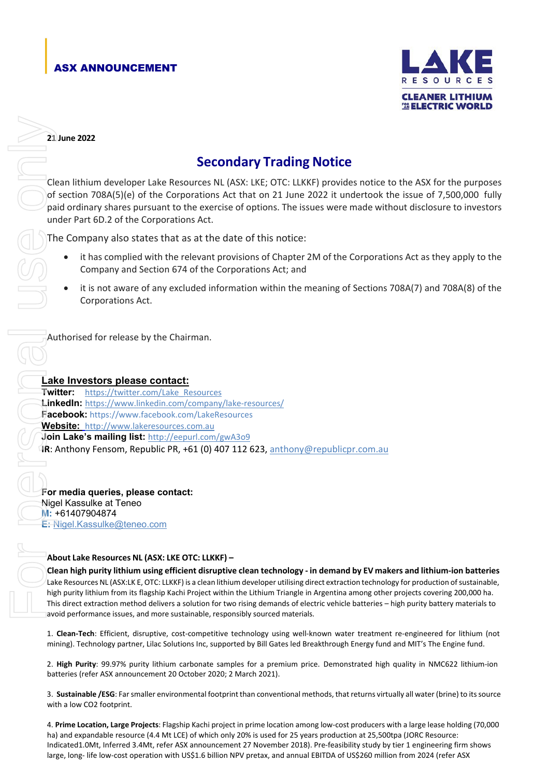## ASX ANNOUNCEMENT



**21 June 2022**

## **Secondary Trading Notice**

Clean lithium developer Lake Resources NL (ASX: LKE; OTC: LLKKF) provides notice to the ASX for the purposes of section 708A(5)(e) of the Corporations Act that on 21 June 2022 it undertook the issue of 7,500,000 fully paid ordinary shares pursuant to the exercise of options. The issues were made without disclosure to investors under Part 6D.2 of the Corporations Act.

The Company also states that as at the date of this notice:

- it has complied with the relevant provisions of Chapter 2M of the Corporations Act as they apply to the Company and Section 674 of the Corporations Act; and
- it is not aware of any excluded information within the meaning of Sections 708A(7) and 708A(8) of the Corporations Act.

Authorised for release by the Chairman.

## **Lake Investors please contact:**

**Twitter:** [https://twitter.com/Lake\\_Resources](https://twitter.com/Lake_Resources) **LinkedIn:** <https://www.linkedin.com/company/lake-resources/> **Facebook:** https://www.facebook.com/LakeResources **Website:** [http://www.lakeresources.com.au](http://www.lakeresources.com.au/) **Join Lake's mailing list:** <http://eepurl.com/gwA3o9> **IR**: Anthony Fensom, Republic PR, +61 (0) 407 112 623, [anthony@republicpr.com.au](mailto:anthony@republicpr.com.au) **21 kme 2022<br>
Secondary Trading Notice**<br>
(dentified a studien 2020 million developer take Records Not, Not USBC, USBC, USBC, USBC, USBC, USBC, USBC, USBC, USBC, USBC, USBC, USBC, USBC, USBC, USBC, USBC, USBC, USBC, USBC,

**For media queries, please contact:** Nigel Kassulke at Teneo **M:** +61407904874 **E:** [Nigel.Kassulke@teneo.com](mailto:Nigel.Kassulke@teneo.com)

## **About Lake Resources NL (ASX: LKE OTC: LLKKF) –**

Clean high purity lithium using efficient disruptive clean technology - in demand by EV makers and lithium-ion batteries Lake Resources NL (ASX:LK E, OTC: LLKKF) is a clean lithium developer utilising direct extraction technology for production of sustainable, high purity lithium from its flagship Kachi Project within the Lithium Triangle in Argentina among other projects covering 200,000 ha. This direct extraction method delivers a solution for two rising demands of electric vehicle batteries – high purity battery materials to avoid performance issues, and more sustainable, responsibly sourced materials.

1. **Clean-Tech**: Efficient, disruptive, cost-competitive technology using well-known water treatment re-engineered for lithium (not mining). Technology partner, Lilac Solutions Inc, supported by Bill Gates led Breakthrough Energy fund and MIT's The Engine fund.

2. **High Purity**: 99.97% purity lithium carbonate samples for a premium price. Demonstrated high quality in NMC622 lithium-ion batteries (refer ASX announcement 20 October 2020; 2 March 2021).

3. **Sustainable /ESG**: Farsmaller environmental footprint than conventional methods, that returns virtually all water (brine) to itssource with a low CO2 footprint.

4. **Prime Location, Large Projects**: Flagship Kachi project in prime location among low-cost producers with a large lease holding (70,000 ha) and expandable resource (4.4 Mt LCE) of which only 20% is used for 25 years production at 25,500tpa (JORC Resource: Indicated1.0Mt, Inferred 3.4Mt, refer ASX announcement 27 November 2018). Pre-feasibility study by tier 1 engineering firm shows